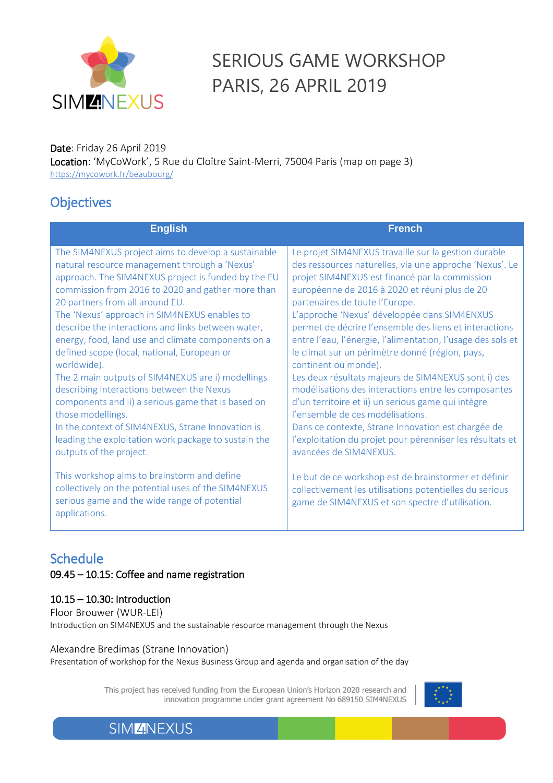

# SERIOUS GAME WORKSHOP PARIS, 26 APRIL 2019

Date: Friday 26 April 2019 Location: 'MyCoWork', 5 Rue du Cloître Saint-Merri, 75004 Paris (map on page 3) <https://mycowork.fr/beaubourg/>

# **Objectives**

| <b>English</b>                                                                                                                                                                                                                                                                                                                                                                                                                                                                                                                                                                                                                                                                                                                                                                                     | <b>French</b>                                                                                                                                                                                                                                                                                                                                                                                                                                                                                                                                                                                                                                                                                                                                                                                                                                                  |
|----------------------------------------------------------------------------------------------------------------------------------------------------------------------------------------------------------------------------------------------------------------------------------------------------------------------------------------------------------------------------------------------------------------------------------------------------------------------------------------------------------------------------------------------------------------------------------------------------------------------------------------------------------------------------------------------------------------------------------------------------------------------------------------------------|----------------------------------------------------------------------------------------------------------------------------------------------------------------------------------------------------------------------------------------------------------------------------------------------------------------------------------------------------------------------------------------------------------------------------------------------------------------------------------------------------------------------------------------------------------------------------------------------------------------------------------------------------------------------------------------------------------------------------------------------------------------------------------------------------------------------------------------------------------------|
| The SIM4NEXUS project aims to develop a sustainable<br>natural resource management through a 'Nexus'<br>approach. The SIM4NEXUS project is funded by the EU<br>commission from 2016 to 2020 and gather more than<br>20 partners from all around EU.<br>The 'Nexus' approach in SIM4NEXUS enables to<br>describe the interactions and links between water,<br>energy, food, land use and climate components on a<br>defined scope (local, national, European or<br>worldwide).<br>The 2 main outputs of SIM4NEXUS are i) modellings<br>describing interactions between the Nexus<br>components and ii) a serious game that is based on<br>those modellings.<br>In the context of SIM4NEXUS, Strane Innovation is<br>leading the exploitation work package to sustain the<br>outputs of the project. | Le projet SIM4NEXUS travaille sur la gestion durable<br>des ressources naturelles, via une approche 'Nexus'. Le<br>projet SIM4NEXUS est financé par la commission<br>européenne de 2016 à 2020 et réuni plus de 20<br>partenaires de toute l'Europe.<br>L'approche 'Nexus' développée dans SIM4ENXUS<br>permet de décrire l'ensemble des liens et interactions<br>entre l'eau, l'énergie, l'alimentation, l'usage des sols et<br>le climat sur un périmètre donné (région, pays,<br>continent ou monde).<br>Les deux résultats majeurs de SIM4NEXUS sont i) des<br>modélisations des interactions entre les composantes<br>d'un territoire et ii) un serious game qui intègre<br>l'ensemble de ces modélisations.<br>Dans ce contexte, Strane Innovation est chargée de<br>l'exploitation du projet pour pérenniser les résultats et<br>avancées de SIM4NEXUS. |
| This workshop aims to brainstorm and define<br>collectively on the potential uses of the SIM4NEXUS<br>serious game and the wide range of potential<br>applications.                                                                                                                                                                                                                                                                                                                                                                                                                                                                                                                                                                                                                                | Le but de ce workshop est de brainstormer et définir<br>collectivement les utilisations potentielles du serious<br>game de SIM4NEXUS et son spectre d'utilisation.                                                                                                                                                                                                                                                                                                                                                                                                                                                                                                                                                                                                                                                                                             |

# **Schedule**

09.45 – 10.15: Coffee and name registration

## 10.15 – 10.30: Introduction

Floor Brouwer (WUR-LEI) Introduction on SIM4NEXUS and the sustainable resource management through the Nexus

#### Alexandre Bredimas (Strane Innovation)

Presentation of workshop for the Nexus Business Group and agenda and organisation of the day

This project has received funding from the European Union's Horizon 2020 research and innovation programme under grant agreement No 689150 SIM4NEXUS



**SIMZNEXUS**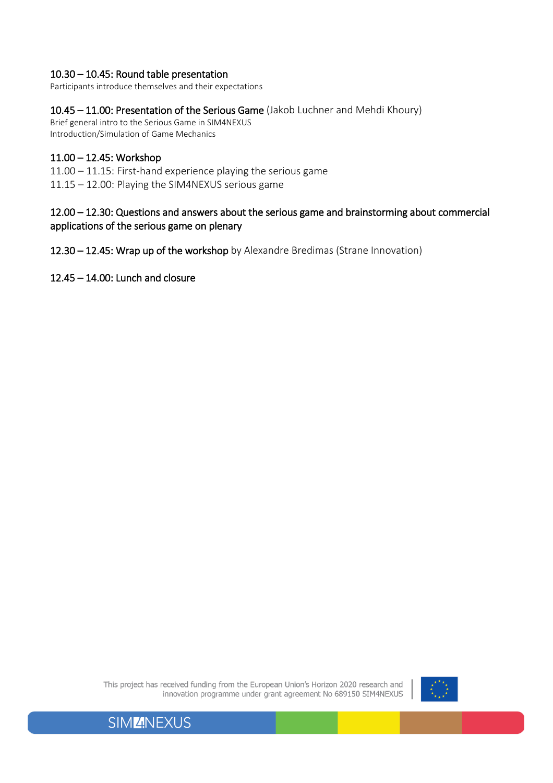### 10.30 – 10.45: Round table presentation

Participants introduce themselves and their expectations

#### 10.45 – 11.00: Presentation of the Serious Game (Jakob Luchner and Mehdi Khoury)

Brief general intro to the Serious Game in SIM4NEXUS Introduction/Simulation of Game Mechanics

#### 11.00 – 12.45: Workshop

11.00 – 11.15: First-hand experience playing the serious game

11.15 – 12.00: Playing the SIM4NEXUS serious game

### 12.00 – 12.30: Questions and answers about the serious game and brainstorming about commercial applications of the serious game on plenary

12.30 – 12.45: Wrap up of the workshop by Alexandre Bredimas (Strane Innovation)

12.45 – 14.00: Lunch and closure



This project has received funding from the European Union's Horizon 2020 research and innovation programme under grant agreement No 689150 SIM4NEXUS

**SIMZNEXUS**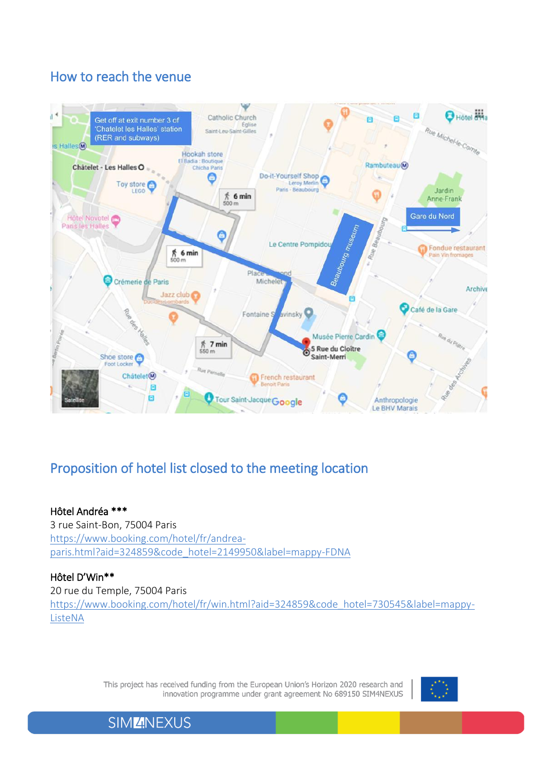# How to reach the venue



# Proposition of hotel list closed to the meeting location

#### Hôtel Andréa \*\*\*

3 rue Saint-Bon, 75004 Paris [https://www.booking.com/hotel/fr/andrea](https://www.booking.com/hotel/fr/andrea-paris.html?aid=324859&code_hotel=2149950&label=mappy-FDNA)[paris.html?aid=324859&code\\_hotel=2149950&label=mappy-FDNA](https://www.booking.com/hotel/fr/andrea-paris.html?aid=324859&code_hotel=2149950&label=mappy-FDNA) 

### Hôtel D'Win\*\*

20 rue du Temple, 75004 Paris [https://www.booking.com/hotel/fr/win.html?aid=324859&code\\_hotel=730545&label=mappy-](https://www.booking.com/hotel/fr/win.html?aid=324859&code_hotel=730545&label=mappy-ListeNA)[ListeNA](https://www.booking.com/hotel/fr/win.html?aid=324859&code_hotel=730545&label=mappy-ListeNA) 

> This project has received funding from the European Union's Horizon 2020 research and innovation programme under grant agreement No 689150 SIM4NEXUS



**SIMZNEXUS**